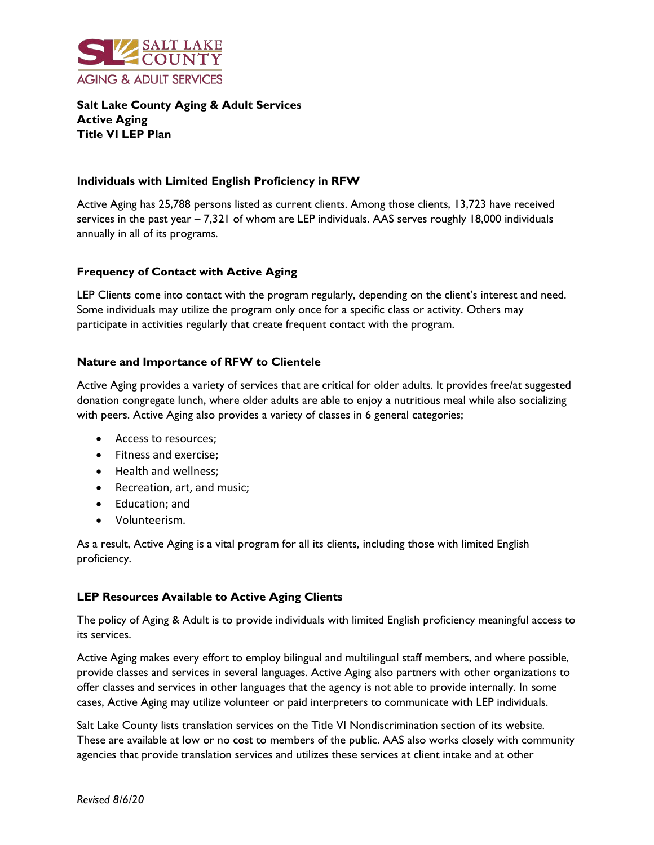

**Salt Lake County Aging & Adult Services Active Aging Title VI LEP Plan**

## **Individuals with Limited English Proficiency in RFW**

Active Aging has 25,788 persons listed as current clients. Among those clients, 13,723 have received services in the past year – 7,321 of whom are LEP individuals. AAS serves roughly 18,000 individuals annually in all of its programs.

# **Frequency of Contact with Active Aging**

LEP Clients come into contact with the program regularly, depending on the client's interest and need. Some individuals may utilize the program only once for a specific class or activity. Others may participate in activities regularly that create frequent contact with the program.

## **Nature and Importance of RFW to Clientele**

Active Aging provides a variety of services that are critical for older adults. It provides free/at suggested donation congregate lunch, where older adults are able to enjoy a nutritious meal while also socializing with peers. Active Aging also provides a variety of classes in 6 general categories;

- Access to resources;
- Fitness and exercise;
- Health and wellness;
- Recreation, art, and music;
- Education; and
- Volunteerism.

As a result, Active Aging is a vital program for all its clients, including those with limited English proficiency.

### **LEP Resources Available to Active Aging Clients**

The policy of Aging & Adult is to provide individuals with limited English proficiency meaningful access to its services.

Active Aging makes every effort to employ bilingual and multilingual staff members, and where possible, provide classes and services in several languages. Active Aging also partners with other organizations to offer classes and services in other languages that the agency is not able to provide internally. In some cases, Active Aging may utilize volunteer or paid interpreters to communicate with LEP individuals.

Salt Lake County lists translation services on the Title VI Nondiscrimination section of its website. These are available at low or no cost to members of the public. AAS also works closely with community agencies that provide translation services and utilizes these services at client intake and at other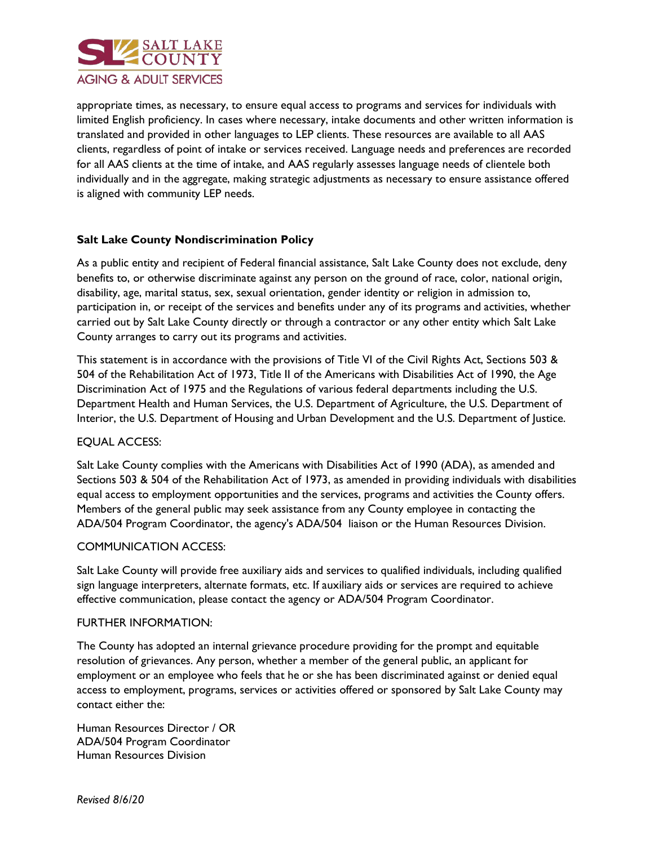

appropriate times, as necessary, to ensure equal access to programs and services for individuals with limited English proficiency. In cases where necessary, intake documents and other written information is translated and provided in other languages to LEP clients. These resources are available to all AAS clients, regardless of point of intake or services received. Language needs and preferences are recorded for all AAS clients at the time of intake, and AAS regularly assesses language needs of clientele both individually and in the aggregate, making strategic adjustments as necessary to ensure assistance offered is aligned with community LEP needs.

# **Salt Lake County Nondiscrimination Policy**

As a public entity and recipient of Federal financial assistance, Salt Lake County does not exclude, deny benefits to, or otherwise discriminate against any person on the ground of race, color, national origin, disability, age, marital status, sex, sexual orientation, gender identity or religion in admission to, participation in, or receipt of the services and benefits under any of its programs and activities, whether carried out by Salt Lake County directly or through a contractor or any other entity which Salt Lake County arranges to carry out its programs and activities.

This statement is in accordance with the provisions of Title VI of the Civil Rights Act, Sections 503 & 504 of the Rehabilitation Act of 1973, Title II of the Americans with Disabilities Act of 1990, the Age Discrimination Act of 1975 and the Regulations of various federal departments including the U.S. Department Health and Human Services, the U.S. Department of Agriculture, the U.S. Department of Interior, the U.S. Department of Housing and Urban Development and the U.S. Department of Justice.

### EQUAL ACCESS:

Salt Lake County complies with the Americans with Disabilities Act of 1990 (ADA), as amended and Sections 503 & 504 of the Rehabilitation Act of 1973, as amended in providing individuals with disabilities equal access to employment opportunities and the services, programs and activities the County offers. Members of the general public may seek assistance from any County employee in contacting the ADA/504 Program Coordinator, the agency's ADA/504 liaison or the Human Resources Division.

### COMMUNICATION ACCESS:

Salt Lake County will provide free auxiliary aids and services to qualified individuals, including qualified sign language interpreters, alternate formats, etc. If auxiliary aids or services are required to achieve effective communication, please contact the agency or ADA/504 Program Coordinator.

### FURTHER INFORMATION:

The County has adopted an internal grievance procedure providing for the prompt and equitable resolution of grievances. Any person, whether a member of the general public, an applicant for employment or an employee who feels that he or she has been discriminated against or denied equal access to employment, programs, services or activities offered or sponsored by Salt Lake County may contact either the:

Human Resources Director / OR ADA/504 Program Coordinator Human Resources Division